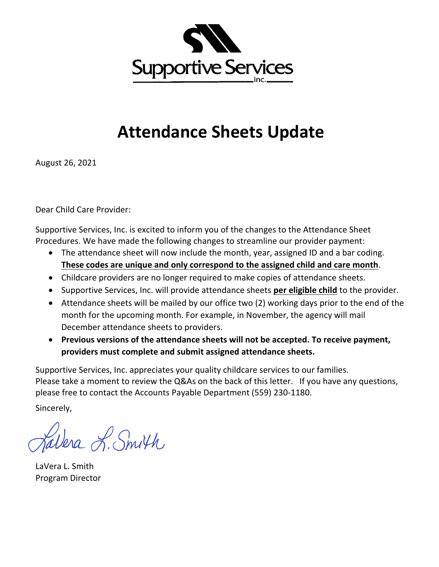

## **Attendance Sheets Update**

August 26, 2021

Dear Child Care Provider:

Supportive Services, Inc. is excited to inform you of the changes to the Attendance Sheet Procedures. We have made the following changes to streamline our provider payment:

- The attendance sheet will now include the month, year, assigned ID and a bar coding. **These codes are unique and only correspond to the assigned child and care month**.
- Childcare providers are no longer required to make copies of attendance sheets.
- Supportive Services, Inc. will provide attendance sheets **per eligible child** to the provider.
- Attendance sheets will be mailed by our office two (2) working days prior to the end of the month for the upcoming month. For example, in November, the agency will mail December attendance sheets to providers.
- **Previous versions of the attendance sheets will not be accepted. To receive payment, providers must complete and submit assigned attendance sheets.**

Supportive Services, Inc. appreciates your quality childcare services to our families. Please take a moment to review the Q&As on the back of this letter. If you have any questions, please free to contact the Accounts Payable Department (559) 230-1180.

Sincerely,

alera L. Smith

LaVera L. Smith Program Director